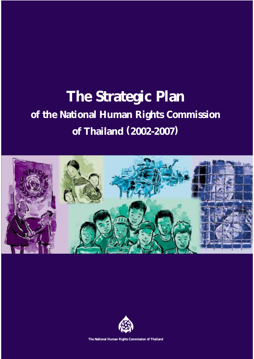# **of the National Human Rights Commission of Thailand (2002-2007) The Strategic Plan**





**The National Human Rights Commission of Thailand**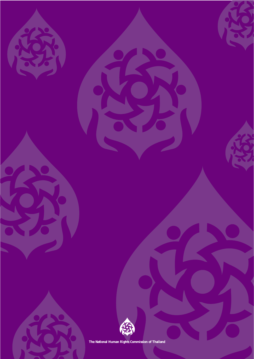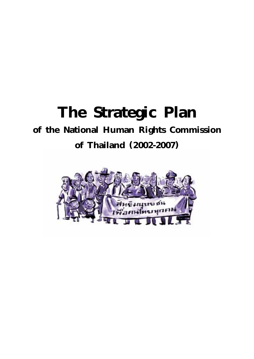# **The Strategic Plan of the National Human Rights Commission of Thailand (2002-2007)**

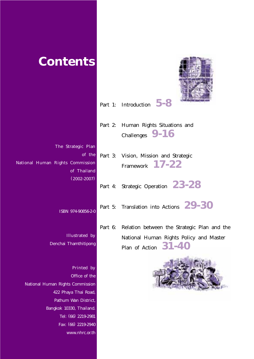| <b>Contents</b>                                                                                                                                                                           |         |                                                                                                                                   |
|-------------------------------------------------------------------------------------------------------------------------------------------------------------------------------------------|---------|-----------------------------------------------------------------------------------------------------------------------------------|
|                                                                                                                                                                                           |         | Part 1: Introduction 5-8                                                                                                          |
|                                                                                                                                                                                           | Part 2: | Human Rights Situations and<br>Challenges 9-16                                                                                    |
| The Strategic Plan<br>of the<br>National Human Rights Commission<br>of Thailand                                                                                                           |         | Part 3: Vision, Mission and Strategic<br>Framework 17-22                                                                          |
| $(2002 - 2007)$                                                                                                                                                                           | Part 4: | Strategic Operation 23-28                                                                                                         |
| ISBN 974-90856-2-0                                                                                                                                                                        | Part 5: | Translation into Actions <b>29-30</b>                                                                                             |
| Illustrated by<br>Denchai Thamthitipong                                                                                                                                                   |         | Part 6: Relation between the Strategic Plan and the<br>National Human Rights Policy and Master<br>91 <i>a</i> n<br>Plan of Action |
| Printed by<br>Office of the<br>National Human Rights Commission<br>422 Phaya Thai Road,<br>Pathum Wan District,<br>Bangkok 10330, Thailand.<br>Tel: (66) 2219-2981<br>Fax: (66) 2219-2940 |         |                                                                                                                                   |

www.nhrc.or.th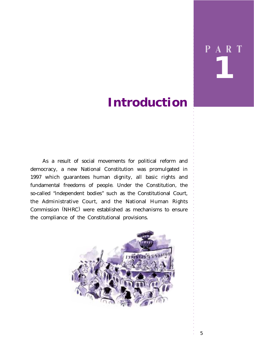# *1* P A R T

○○○○○○○○○○○○○○○○○○○○○○○○○○○○○

# **Introduction**

As a result of social movements for political reform and democracy, a new National Constitution was promulgated in 1997 which guarantees human dignity, all basic rights and fundamental freedoms of people. Under the Constitution, the so-called "independent bodies" such as the Constitutional Court, the Administrative Court, and the National Human Rights Commission (NHRC) were established as mechanisms to ensure the compliance of the Constitutional provisions.

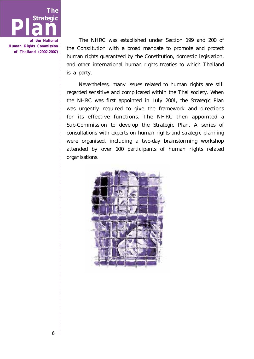

The NHRC was established under Section 199 and 200 of the Constitution with a broad mandate to promote and protect human rights guaranteed by the Constitution, domestic legislation, and other international human rights treaties to which Thailand is a party.

Nevertheless, many issues related to human rights are still regarded sensitive and complicated within the Thai society. When the NHRC was first appointed in July 2001, the Strategic Plan was urgently required to give the framework and directions for its effective functions. The NHRC then appointed a Sub-Commission to develop the Strategic Plan. A series of consultations with experts on human rights and strategic planning were organised, including a two-day brainstorming workshop attended by over 100 participants of human rights related organisations.

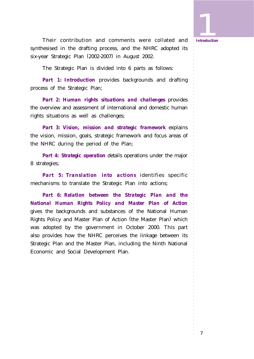**11**<br>Introduction

○○○○○○○○○○○○○○○○○○○○○○○○○○○○○

Their contribution and comments were collated and *Introduction* synthesised in the drafting process, and the NHRC adopted its six-year Strategic Plan (2002-2007) in August 2002.

The Strategic Plan is divided into 6 parts as follows:

*Part 1: Introduction* provides backgrounds and drafting process of the Strategic Plan;

*Part 2: Human rights situations and challenges* provides the overview and assessment of international and domestic human rights situations as well as challenges;

*Part 3: Vision, mission and strategic framework* explains the vision, mission, goals, strategic framework and focus areas of the NHRC during the period of the Plan;

*Part 4: Strategic operation* details operations under the major 8 strategies;

*Part 5: Translation into actions* identifies specific mechanisms to translate the Strategic Plan into actions;

*Part 6: Relation between the Strategic Plan and the National Human Rights Policy and Master Plan of Action* gives the backgrounds and substances of the National Human Rights Policy and Master Plan of Action (the Master Plan ) which was adopted by the government in October 2000. This part also provides how the NHRC perceives the linkage between its Strategic Plan and the Master Plan, including the Ninth National Economic and Social Development Plan.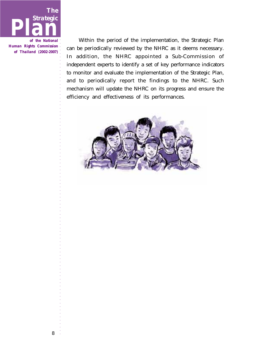

Within the period of the implementation, the Strategic Plan can be periodically reviewed by the NHRC as it deems necessary. In addition, the NHRC appointed a Sub-Commission of independent experts to identify a set of key performance indicators to monitor and evaluate the implementation of the Strategic Plan, and to periodically report the findings to the NHRC. Such mechanism will update the NHRC on its progress and ensure the efficiency and effectiveness of its performances.

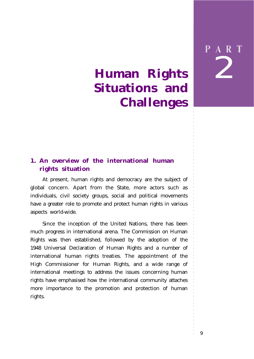# 2 P A R T

○○○○○○○○○○○○○○○○○○○○○○○○○○○○○

# **Human Rights Situations and Challenges**

# **1. An overview of the international human rights situation**

At present, human rights and democracy are the subject of global concern. Apart from the State, more actors such as individuals, civil society groups, social and political movements have a greater role to promote and protect human rights in various aspects world-wide.

Since the inception of the United Nations, there has been much progress in international arena. The Commission on Human Rights was then established, followed by the adoption of the 1948 Universal Declaration of Human Rights and a number of international human rights treaties. The appointment of the High Commissioner for Human Rights, and a wide range of international meetings to address the issues concerning human rights have emphasised how the international community attaches more importance to the promotion and protection of human rights.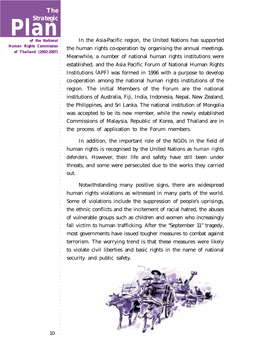

In the Asia-Pacific region, the United Nations has supported the human rights co-operation by organising the annual meetings. Meanwhile, a number of national human rights institutions were established, and the Asia Pacific Forum of National Human Rights Institutions (APF) was formed in 1996 with a purpose to develop co-operation among the national human rights institutions of the region. The initial Members of the Forum are the national institutions of Australia, Fiji, India, Indonesia, Nepal, New Zealand, the Philippines, and Sri Lanka. The national institution of Mongolia was accepted to be its new member, while the newly established Commissions of Malaysia, Republic of Korea, and Thailand are in the process of application to the Forum members.

In addition, the important role of the NGOs in the field of human rights is recognised by the United Nations as *human rights defenders.* However, their life and safety have still been under threats, and some were persecuted due to the works they carried out.

Notwithstanding many positive signs, there are widespread human rights violations as witnessed in many parts of the world. Some of violations include the suppression of people's uprisings, the ethnic conflicts and the incitement of racial hatred, the abuses of vulnerable groups such as children and women who increasingly fall victim to human trafficking. After the "September 11" tragedy, most governments have issued tougher measures to combat against terrorism. The worrying trend is that these measures were likely to violate civil liberties and basic rights in the name of national security and public safety.

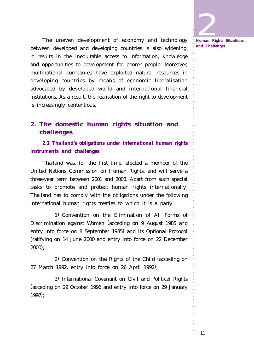The uneven development of economy and technology between developed and developing countries is also widening. It results in the inequitable access to information, knowledge and opportunities to development for poorer people. Moreover, multinational companies have exploited natural resources in developing countries by means of economic liberalisation advocated by developed world and international financial institutions. As a result, the realisation of the right to development is increasingly contentious.

# **2. The domestic human rights situation and challenges**

*2.1 Thailand's obligations under international human rights instruments and challenges*

Thailand was, for the first time, elected a member of the United Nations Commission on Human Rights, and will serve a three-year term between 2001 and 2003. Apart from such special tasks to promote and protect human rights internationally, Thailand has to comply with the obligations under the following international human rights treaties to which it is a party:

1) Convention on the Elimination of All Forms of Discrimination against Women (acceding on 9 August 1985 and entry into force on 8 September 1985) and its Optional Protocol (ratifying on 14 June 2000 and entry into force on 22 December 2000);

2) Convention on the Rights of the Child (acceding on 27 March 1992, entry into force on 26 April 1992);

3) International Covenant on Civil and Political Rights (acceding on 29 October 1996 and entry into force on 29 January 1997);

2 *Human Rights Situations and Challenges*

○○○○○○○○○○○○○○○○○○○○○○○○○○○○○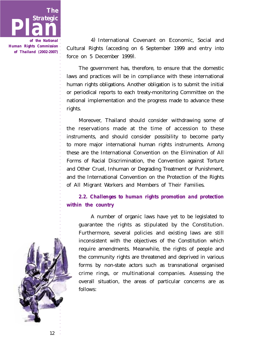

4) International Covenant on Economic, Social and Cultural Rights (acceding on 6 September 1999 and entry into force on 5 December 1999).

The government has, therefore, to ensure that the domestic laws and practices will be in compliance with these international human rights obligations. Another obligation is to submit the initial or periodical reports to each treaty-monitoring Committee on the national implementation and the progress made to advance these rights.

Moreover, Thailand should consider withdrawing some of the reservations made at the time of accession to these instruments, and should consider possibility to become party to more major international human rights instruments. Among these are the International Convention on the Elimination of All Forms of Racial Discrimination, the Convention against Torture and Other Cruel, Inhuman or Degrading Treatment or Punishment, and the International Convention on the Protection of the Rights of All Migrant Workers and Members of Their Families.

### *2.2. Challenges to human rights promotion and protection within the country*

A number of organic laws have yet to be legislated to guarantee the rights as stipulated by the Constitution. Furthermore, several policies and existing laws are still inconsistent with the objectives of the Constitution which require amendments. Meanwhile, the rights of people and the community rights are threatened and deprived in various forms by non-state actors such as transnational organised crime rings, or multinational companies. Assessing the overall situation, the areas of particular concerns are as follows:

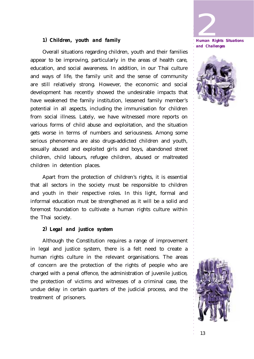

*and Challenges*



#### *1) Children, youth and family*

Overall situations regarding children, youth and their families appear to be improving, particularly in the areas of health care, education, and social awareness. In addition, in our Thai culture and ways of life, the family unit and the sense of community are still relatively strong. However, the economic and social development has recently showed the undesirable impacts that have weakened the family institution, lessened family member's potential in all aspects, including the immunisation for children from social illness. Lately, we have witnessed more reports on various forms of child abuse and exploitation, and the situation gets worse in terms of numbers and seriousness. Among some serious phenomena are also drugs-addicted children and youth, sexually abused and exploited girls and boys, abandoned street children, child labours, refugee children, abused or maltreated children in detention places.

Apart from the protection of children's rights, it is essential that all sectors in the society must be responsible to children and youth in their respective roles. In this light, formal and informal education must be strengthened as it will be a solid and foremost foundation to cultivate a human rights culture within the Thai society.

#### *2) Legal and justice system*

Although the Constitution requires a range of improvement in legal and justice system, there is a felt need to create a human rights culture in the relevant organisations. The areas of concern are the protection of the rights of people who are charged with a penal offence, the administration of juvenile justice, the protection of victims and witnesses of a criminal case, the undue delay in certain quarters of the judicial process, and the treatment of prisoners.

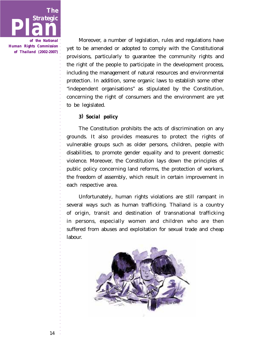

Moreover, a number of legislation, rules and regulations have yet to be amended or adopted to comply with the Constitutional provisions, particularly to guarantee the community rights and the right of the people to participate in the development process, including the management of natural resources and environmental protection. In addition, some organic laws to establish some other "independent organisations" as stipulated by the Constitution, concerning the right of consumers and the environment are yet to be legislated.

#### *3) Social policy*

The Constitution prohibits the acts of discrimination on any grounds. It also provides measures to protect the rights of vulnerable groups such as older persons, children, people with disabilities, to promote gender equality and to prevent domestic violence. Moreover, the Constitution lays down the principles of public policy concerning land reforms, the protection of workers, the freedom of assembly, which result in certain improvement in each respective area.

Unfortunately, human rights violations are still rampant in several ways such as human trafficking. Thailand is a country of origin, transit and destination of transnational trafficking in persons, especially women and children who are then suffered from abuses and exploitation for sexual trade and cheap labour.

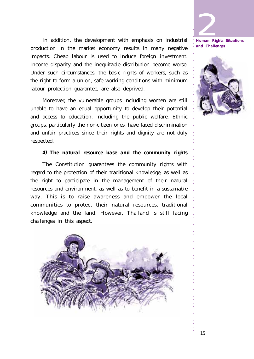In addition, the development with emphasis on industrial production in the market economy results in many negative impacts. Cheap labour is used to induce foreign investment. Income disparity and the inequitable distribution become worse. Under such circumstances, the basic rights of workers, such as the right to form a union, safe working conditions with minimum labour protection guarantee, are also deprived.

Moreover, the vulnerable groups including women are still unable to have an equal opportunity to develop their potential and access to education, including the public welfare. Ethnic groups, particularly the non-citizen ones, have faced discrimination and unfair practices since their rights and dignity are not duly respected.

#### *4) The natural resource base and the community rights*

The Constitution guarantees the community rights with regard to the protection of their traditional knowledge, as well as the right to participate in the management of their natural resources and environment, as well as to benefit in a sustainable way. This is to raise awareness and empower the local communities to protect their natural resources, traditional knowledge and the land. However, Thailand is still facing challenges in this aspect.



2 *Human Rights Situations and Challenges*

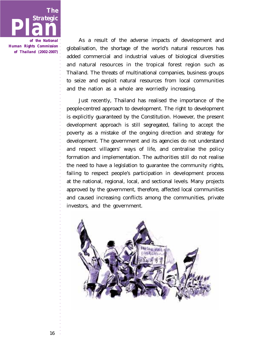

As a result of the adverse impacts of development and globalisation, the shortage of the world's natural resources has added commercial and industrial values of biological diversities and natural resources in the tropical forest region such as Thailand. The threats of multinational companies, business groups to seize and exploit natural resources from local communities and the nation as a whole are worriedly increasing.

Just recently, Thailand has realised the importance of the people-centred approach to development. The right to development is explicitly guaranteed by the Constitution. However, the present development approach is still segregated, failing to accept the poverty as a mistake of the ongoing direction and strategy for development. The government and its agencies do not understand and respect villagers' ways of life, and centralise the policy formation and implementation. The authorities still do not realise the need to have a legislation to guarantee the community rights, failing to respect people's participation in development process at the national, regional, local, and sectional levels. Many projects approved by the government, therefore, affected local communities and caused increasing conflicts among the communities, private investors, and the government.

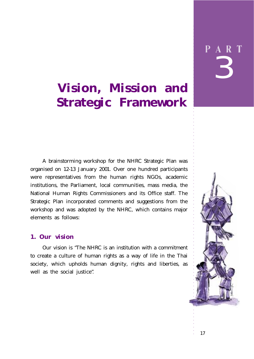# **Vision, Mission and Strategic Framework**

A brainstorming workshop for the NHRC Strategic Plan was organised on 12-13 January 2001. Over one hundred participants were representatives from the human rights NGOs, academic institutions, the Parliament, local communities, mass media, the National Human Rights Commissioners and its Office staff. The Strategic Plan incorporated comments and suggestions from the workshop and was adopted by the NHRC, which contains major elements as follows:

### **1. Our vision**

Our vision is "The NHRC is an institution with a commitment to create a culture of human rights as a way of life in the Thai society, which upholds human dignity, rights and liberties, as well as the social justice".



○○○○○○○○○○○○○○○○○○○○○○○○○○○○○○○○○○○○○○○○○○○○○○○○○○○○○○○○○○○○○○



○○○○○○○○○○○○○○○○○○○○○○○○○○○○○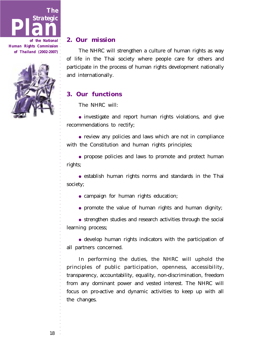



○○○○○○○○○○○○○○○○○○○○○○○○○○○○○

#### **2. Our mission**

The NHRC will strengthen a culture of human rights as way of life in the Thai society where people care for others and participate in the process of human rights development nationally and internationally.

### **3. Our functions**

The NHRC will:

• investigate and report human rights violations, and give recommendations to rectify;

• review any policies and laws which are not in compliance with the Constitution and human rights principles;

● propose policies and laws to promote and protect human rights;

• establish human rights norms and standards in the Thai society;

• campaign for human rights education;

● promote the value of human rights and human dignity;

● strengthen studies and research activities through the social learning process;

• develop human rights indicators with the participation of all partners concerned.

In performing the duties, the NHRC will uphold the principles of public participation, openness, accessibility, transparency, accountability, equality, non-discrimination, freedom from any dominant power and vested interest. The NHRC will focus on pro-active and dynamic activities to keep up with all the changes.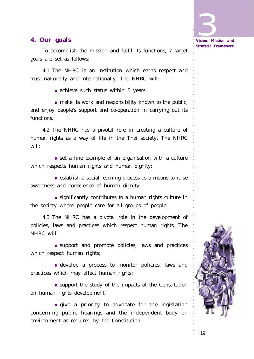

To accomplish the mission and fulfil its functions, 7 target goals are set as follows:

4.1 The NHRC is an institution which earns respect and trust nationally and internationally. The NHRC will:

• achieve such status within 5 years;

• make its work and responsibility known to the public, and enjoy people's support and co-operation in carrying out its functions.

4.2 The NHRC has a pivotal role in creating a culture of human rights as a way of life in the Thai society. The NHRC will:

• set a fine example of an organisation with a culture which respects human rights and human dignity;

• establish a social learning process as a means to raise awareness and conscience of human dignity;

● significantly contributes to a human rights culture in the society where people care for all groups of people.

4.3 The NHRC has a pivotal role in the development of policies, laws and practices which respect human rights. The NHRC will:

● support and promote policies, laws and practices which respect human rights;

● develop a process to monitor policies, laws and practices which may affect human rights;

● support the study of the impacts of the Constitution on human rights development;

● give a priority to advocate for the legislation concerning public hearings and the independent body on environment as required by the Constitution.





○○○○○○○○○○○○○○○○○○○○○○○○○○○○○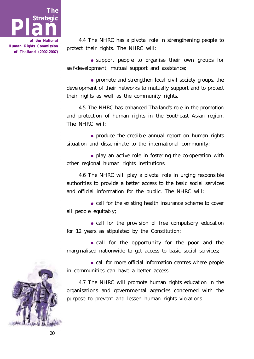

4.4 The NHRC has a pivotal role in strengthening people to protect their rights. The NHRC will:

● support people to organise their own groups for self-development, mutual support and assistance;

• promote and strengthen local civil society groups, the development of their networks to mutually support and to protect their rights as well as the community rights.

4.5 The NHRC has enhanced Thailand's role in the promotion and protection of human rights in the Southeast Asian region. The NHRC will:

• produce the credible annual report on human rights situation and disseminate to the international community;

• play an active role in fostering the co-operation with other regional human rights institutions.

4.6 The NHRC will play a pivotal role in urging responsible authorities to provide a better access to the basic social services and official information for the public. The NHRC will:

• call for the existing health insurance scheme to cover all people equitably;

• call for the provision of free compulsory education for 12 years as stipulated by the Constitution;

• call for the opportunity for the poor and the marginalised nationwide to get access to basic social services;

• call for more official information centres where people in communities can have a better access.

4.7 The NHRC will promote human rights education in the organisations and governmental agencies concerned with the purpose to prevent and lessen human rights violations.

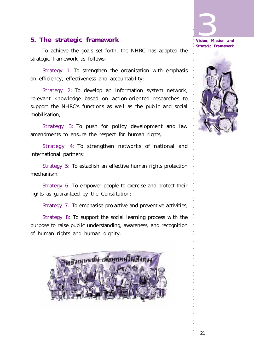# **5. The strategic framework**

To achieve the goals set forth, the NHRC has adopted the strategic framework as follows:

Strategy 1: To strengthen the organisation with emphasis on efficiency, effectiveness and accountability;

Strategy 2: To develop an information system network, relevant knowledge based on action-oriented researches to support the NHRC's functions as well as the public and social mobilisation;

Strategy 3: To push for policy development and law amendments to ensure the respect for human rights;

Strategy 4: To strengthen networks of national and international partners;

Strategy 5: To establish an effective human rights protection mechanism;

Strategy 6: To empower people to exercise and protect their rights as guaranteed by the Constitution;

Strategy 7: To emphasise pro-active and preventive activities;

Strategy 8: To support the social learning process with the purpose to raise public understanding, awareness, and recognition of human rights and human dignity.



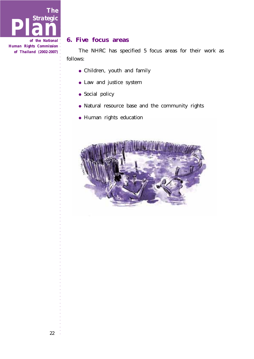

### **6. Five focus areas**

The NHRC has specified 5 focus areas for their work as follows:

- Children, youth and family
- Law and justice system
- Social policy
- Natural resource base and the community rights
- Human rights education

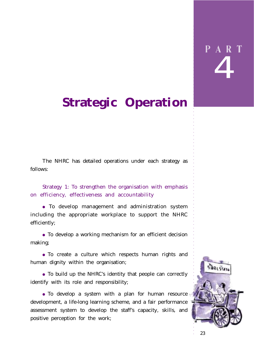○○○○○○○○○○○○○○○○○○○○○○○○○○○○○

# **Strategic Operation**

The NHRC has detailed operations under each strategy as follows:

Strategy 1: To strengthen the organisation with emphasis on efficiency, effectiveness and accountability

● To develop management and administration system including the appropriate workplace to support the NHRC efficiently;

• To develop a working mechanism for an efficient decision making;

● To create a culture which respects human rights and human dignity within the organisation;

● To build up the NHRC's identity that people can correctly identify with its role and responsibility;

• To develop a system with a plan for human resource development, a life-long learning scheme, and a fair performance assessment system to develop the staff's capacity, skills, and positive perception for the work;

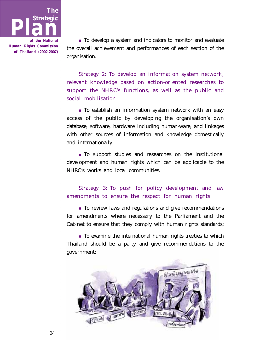

• To develop a system and indicators to monitor and evaluate the overall achievement and performances of each section of the organisation.

Strategy 2: To develop an information system network, relevant knowledge based on action-oriented researches to support the NHRC's functions, as well as the public and social mobilisation

• To establish an information system network with an easy access of the public by developing the organisation's own database, software, hardware including human-ware, and linkages with other sources of information and knowledge domestically and internationally;

● To support studies and researches on the institutional development and human rights which can be applicable to the NHRC's works and local communities.

Strategy 3: To push for policy development and law amendments to ensure the respect for human rights

• To review laws and regulations and give recommendations for amendments where necessary to the Parliament and the Cabinet to ensure that they comply with human rights standards;

• To examine the international human rights treaties to which Thailand should be a party and give recommendations to the government;

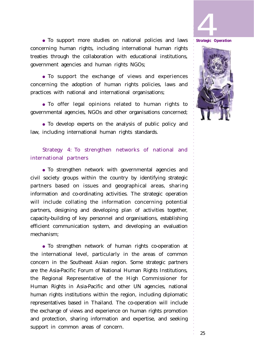



● To support more studies on national policies and laws concerning human rights, including international human rights treaties through the collaboration with educational institutions, government agencies and human rights NGOs;

● To support the exchange of views and experiences concerning the adoption of human rights policies, laws and practices with national and international organisations;

● To offer legal opinions related to human rights to governmental agencies, NGOs and other organisations concerned;

● To develop experts on the analysis of public policy and law, including international human rights standards.

Strategy 4: To strengthen networks of national and international partners

● To strengthen network with governmental agencies and civil society groups within the country by identifying strategic partners based on issues and geographical areas, sharing information and co-ordinating activities. The strategic operation will include collating the information concerning potential partners, designing and developing plan of activities together, capacity-building of key personnel and organisations, establishing efficient communication system, and developing an evaluation mechanism;

● To strengthen network of human rights co-operation at the international level, particularly in the areas of common concern in the Southeast Asian region. Some strategic partners are the Asia-Pacific Forum of National Human Rights Institutions, the Regional Representative of the High Commissioner for Human Rights in Asia-Pacific and other UN agencies, national human rights institutions within the region, including diplomatic representatives based in Thailand. The co-operation will include the exchange of views and experience on human rights promotion and protection, sharing information and expertise, and seeking support in common areas of concern.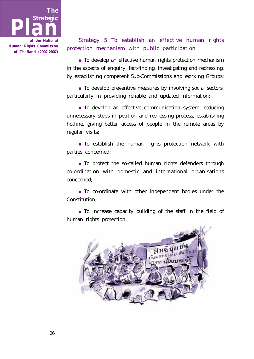

*of the National Human Rights Commission of Thailand (2002-2007)*

## Strategy 5: To establish an effective human rights protection mechanism with public participation

● To develop an effective human rights protection mechanism in the aspects of enquiry, fact-finding, investigating and redressing, by establishing competent Sub-Commissions and Working Groups;

• To develop preventive measures by involving social sectors, particularly in providing reliable and updated information;

● To develop an effective communication system, reducing unnecessary steps in petition and redressing process, establishing hotline, giving better access of people in the remote areas by regular visits;

● To establish the human rights protection network with parties concerned;

• To protect the so-called human rights defenders through co-ordination with domestic and international organisations concerned;

● To co-ordinate with other independent bodies under the Constitution;

• To increase capacity building of the staff in the field of human rights protection.

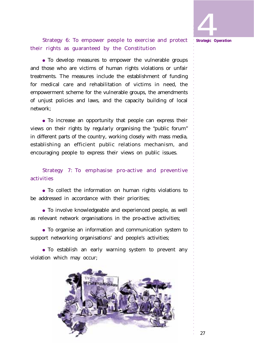○○○○○○○○○○○○○○○○○○○○○○○○○○○○○ 4 *Strategic Operation*

Strategy 6: To empower people to exercise and protect their rights as guaranteed by the Constitution

• To develop measures to empower the vulnerable groups and those who are victims of human rights violations or unfair treatments. The measures include the establishment of funding for medical care and rehabilitation of victims in need, the empowerment scheme for the vulnerable groups, the amendments of unjust policies and laws, and the capacity building of local network;

• To increase an opportunity that people can express their views on their rights by regularly organising the "public forum" in different parts of the country, working closely with mass media, establishing an efficient public relations mechanism, and encouraging people to express their views on public issues.

Strategy 7: To emphasise pro-active and preventive activities

● To collect the information on human rights violations to be addressed in accordance with their priorities;

● To involve knowledgeable and experienced people, as well as relevant network organisations in the pro-active activities;

● To organise an information and communication system to support networking organisations' and people's activities;

● To establish an early warning system to prevent any violation which may occur;

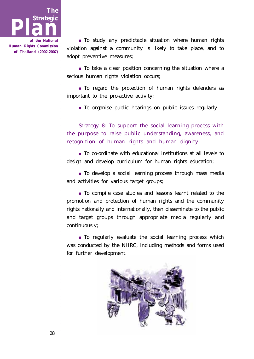

• To study any predictable situation where human rights violation against a community is likely to take place, and to adopt preventive measures;

• To take a clear position concerning the situation where a serious human rights violation occurs;

● To regard the protection of human rights defenders as important to the pro-active activity;

● To organise public hearings on public issues regularly.

Strategy 8: To support the social learning process with the purpose to raise public understanding, awareness, and recognition of human rights and human dignity

● To co-ordinate with educational institutions at all levels to design and develop curriculum for human rights education;

• To develop a social learning process through mass media and activities for various target groups;

● To compile case studies and lessons learnt related to the promotion and protection of human rights and the community rights nationally and internationally, then disseminate to the public and target groups through appropriate media regularly and continuously;

● To regularly evaluate the social learning process which was conducted by the NHRC, including methods and forms used for further development.

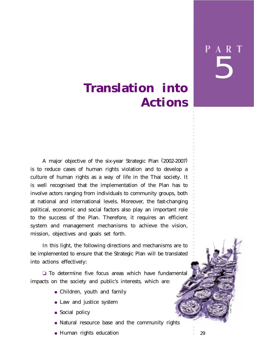# 5 P A R T

○○○○○○○○○○○○○○○○○○○○○○○○○○○○○

# **Translation into Actions**

A major objective of the six-year Strategic Plan (2002-2007) is to reduce cases of human rights violation and to develop a culture of human rights as a way of life in the Thai society. It is well recognised that the implementation of the Plan has to involve actors ranging from individuals to community groups, both at national and international levels. Moreover, the fast-changing political, economic and social factors also play an important role to the success of the Plan. Therefore, it requires an efficient system and management mechanisms to achieve the vision, mission, objectives and goals set forth.

In this light, the following directions and mechanisms are to be implemented to ensure that the Strategic Plan will be translated into actions effectively:

❏ To determine five focus areas which have fundamental impacts on the society and public's interests, which are:

- Children, youth and family
- Law and justice system
- Social policy
- Natural resource base and the community rights
- Human rights education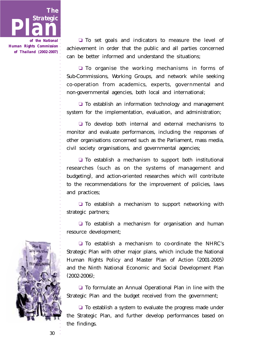

❏ To set goals and indicators to measure the level of achievement in order that the public and all parties concerned can be better informed and understand the situations;

❏ To organise the working mechanisms in forms of Sub-Commissions, Working Groups, and network while seeking co-operation from academics, experts, governmental and non-governmental agencies, both local and international;

❏ To establish an information technology and management system for the implementation, evaluation, and administration;

❏ To develop both internal and external mechanisms to monitor and evaluate performances, including the responses of other organisations concerned such as the Parliament, mass media, civil society organisations, and governmental agencies;

❏ To establish a mechanism to support both institutional researches (such as on the systems of management and budgeting), and action-oriented researches which will contribute to the recommendations for the improvement of policies, laws and practices;

❏ To establish a mechanism to support networking with strategic partners;

❏ To establish a mechanism for organisation and human resource development;



❏ To establish a mechanism to co-ordinate the NHRC's Strategic Plan with other major plans, which include the National Human Rights Policy and Master Plan of Action (2001-2005) and the Ninth National Economic and Social Development Plan  $(2002 - 2006)$ ;

❏ To formulate an Annual Operational Plan in line with the Strategic Plan and the budget received from the government;

❏ To establish a system to evaluate the progress made under the Strategic Plan, and further develop performances based on the findings.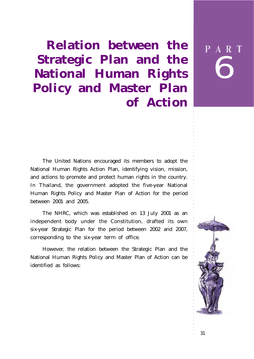**Relation between the Strategic Plan and the National Human Rights Policy and Master Plan of Action**

The United Nations encouraged its members to adopt the National Human Rights Action Plan, identifying vision, mission, and actions to promote and protect human rights in the country. In Thailand, the government adopted the five-year National Human Rights Policy and Master Plan of Action for the period between 2001 and 2005.

The NHRC, which was established on 13 July 2001 as an independent body under the Constitution, drafted its own six-year Strategic Plan for the period between 2002 and 2007, corresponding to the six-year term of office.

However, the relation between the Strategic Plan and the National Human Rights Policy and Master Plan of Action can be identified as follows:



○○○○○○○○○○○○○○○○○○○○○○○○○○○○○

6

P A R T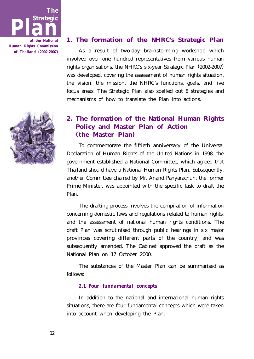



### **1. The formation of the NHRC's Strategic Plan**

As a result of two-day brainstorming workshop which involved over one hundred representatives from various human rights organisations, the NHRC's six-year Strategic Plan (2002-2007) was developed, covering the assessment of human rights situation, the vision, the mission, the NHRC's functions, goals, and five focus areas. The Strategic Plan also spelled out 8 strategies and mechanisms of how to translate the Plan into actions.

## **2. The formation of the National Human Rights Policy and Master Plan of Action (the Master Plan)**

To commemorate the fiftieth anniversary of the Universal Declaration of Human Rights of the United Nations in 1998, the government established a National Committee, which agreed that Thailand should have a National Human Rights Plan. Subsequently, another Committee chaired by Mr. Anand Panyarachun, the former Prime Minister, was appointed with the specific task to draft the Plan.

The drafting process involves the compilation of information concerning domestic laws and regulations related to human rights, and the assessment of national human rights conditions. The draft Plan was scrutinised through public hearings in six major provinces covering different parts of the country, and was subsequently amended. The Cabinet approved the draft as the National Plan on 17 October 2000.

The substances of the Master Plan can be summarised as follows:

#### *2.1 Four fundamental concepts*

In addition to the national and international human rights situations, there are four fundamental concepts which were taken into account when developing the Plan.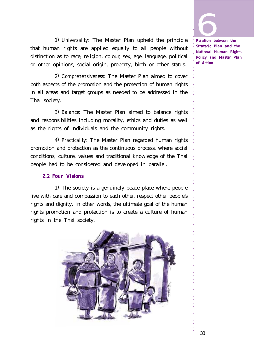**1999**<br>Relation be

○○○○○○○○○○○○○○○○○○○○○○○○○○○○○

1) *Universality:* The Master Plan upheld the principle that human rights are applied equally to all people without distinction as to race, religion, colour, sex, age, language, political or other opinions, social origin, property, birth or other status.

2) *Comprehensiveness:* The Master Plan aimed to cover both aspects of the promotion and the protection of human rights in all areas and target groups as needed to be addressed in the Thai society.

3) *Balance:* The Master Plan aimed to balance rights and responsibilities including morality, ethics and duties as well as the rights of individuals and the community rights.

4) *Practicality:* The Master Plan regarded human rights promotion and protection as the continuous process, where social conditions, culture, values and traditional knowledge of the Thai people had to be considered and developed in parallel.

#### *2.2 Four Visions*

1) The society is a genuinely peace place where people live with care and compassion to each other, respect other people's rights and dignity. In other words, the ultimate goal of the human rights promotion and protection is to create a culture of human rights in the Thai society.



*Relation between the Strategic Plan and the National Human Rights Policy and Master Plan of Action*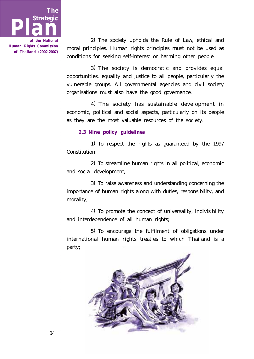

2) The society upholds the Rule of Law, ethical and moral principles. Human rights principles must not be used as conditions for seeking self-interest or harming other people.

3) The society is democratic and provides equal opportunities, equality and justice to all people, particularly the vulnerable groups. All governmental agencies and civil society organisations must also have the good governance.

4) The society has sustainable development in economic, political and social aspects, particularly on its people as they are the most valuable resources of the society.

### *2.3 Nine policy guidelines*

1) To respect the rights as guaranteed by the 1997 Constitution;

2) To streamline human rights in all political, economic and social development;

3) To raise awareness and understanding concerning the importance of human rights along with duties, responsibility, and morality;

4) To promote the concept of universality, indivisibility and interdependence of all human rights;

5) To encourage the fulfilment of obligations under international human rights treaties to which Thailand is a party;

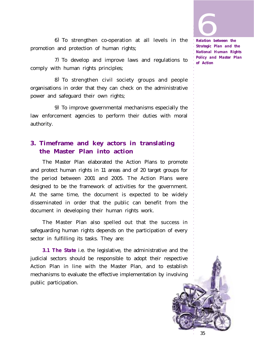**1999**<br>Relation be

○○○○○○○○○○○○○○○○○○○○○○○○○○○○○

6) To strengthen co-operation at all levels in the promotion and protection of human rights;

7) To develop and improve laws and regulations to comply with human rights principles;

8) To strengthen civil society groups and people organisations in order that they can check on the administrative power and safeguard their own rights;

9) To improve governmental mechanisms especially the law enforcement agencies to perform their duties with moral authority.

## **3. Timeframe and key actors in translating the Master Plan into action**

The Master Plan elaborated the Action Plans to promote and protect human rights in 11 areas and of 20 target groups for the period between 2001 and 2005. The Action Plans were designed to be the framework of activities for the government. At the same time, the document is expected to be widely disseminated in order that the public can benefit from the document in developing their human rights work.

The Master Plan also spelled out that the success in safeguarding human rights depends on the participation of every sector in fulfilling its tasks. They are:

*3.1 The State* i.e. the legislative, the administrative and the judicial sectors should be responsible to adopt their respective Action Plan in line with the Master Plan, and to establish mechanisms to evaluate the effective implementation by involving public participation.

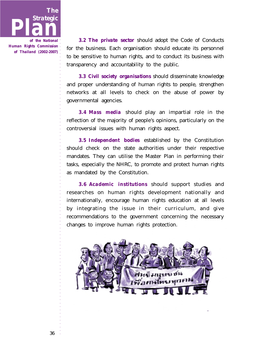

*of the National Human Rights Commission of Thailand (2002-2007)*

*3.2 The private sector* should adopt the Code of Conducts for the business. Each organisation should educate its personnel to be sensitive to human rights, and to conduct its business with transparency and accountability to the public.

*3.3 Civil society organisations* should disseminate knowledge and proper understanding of human rights to people, strengthen networks at all levels to check on the abuse of power by governmental agencies.

*3.4 Mass media* should play an impartial role in the reflection of the majority of people's opinions, particularly on the controversial issues with human rights aspect.

*3.5 Independent bodies* established by the Constitution should check on the state authorities under their respective mandates. They can utilise the Master Plan in performing their tasks, especially the NHRC, to promote and protect human rights as mandated by the Constitution.

*3.6 Academic institutions* should support studies and researches on human rights development nationally and internationally, encourage human rights education at all levels by integrating the issue in their curriculum, and give recommendations to the government concerning the necessary changes to improve human rights protection.

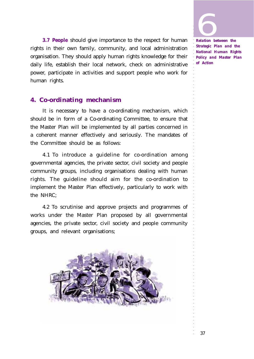○○○○○○○○○○○○○○○○○○○○○○○○○○○○○

*3.7 People* should give importance to the respect for human rights in their own family, community, and local administration organisation. They should apply human rights knowledge for their daily life, establish their local network, check on administrative power, participate in activities and support people who work for human rights.

### **4. Co-ordinating mechanism**

It is necessary to have a co-ordinating mechanism, which should be in form of a Co-ordinating Committee, to ensure that the Master Plan will be implemented by all parties concerned in a coherent manner effectively and seriously. The mandates of the Committee should be as follows:

4.1 To introduce a guideline for co-ordination among governmental agencies, the private sector, civil society and people community groups, including organisations dealing with human rights. The guideline should aim for the co-ordination to implement the Master Plan effectively, particularly to work with the NHRC;

4.2 To scrutinise and approve projects and programmes of works under the Master Plan proposed by all governmental agencies, the private sector, civil society and people community groups, and relevant organisations;



*Relation between the Strategic Plan and the National Human Rights Policy and Master Plan of Action*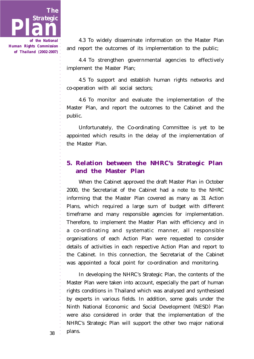

4.3 To widely disseminate information on the Master Plan and report the outcomes of its implementation to the public;

4.4 To strengthen governmental agencies to effectively implement the Master Plan;

4.5 To support and establish human rights networks and co-operation with all social sectors;

4.6 To monitor and evaluate the implementation of the Master Plan, and report the outcomes to the Cabinet and the public.

Unfortunately, the Co-ordinating Committee is yet to be appointed which results in the delay of the implementation of the Master Plan.

## **5. Relation between the NHRC's Strategic Plan and the Master Plan**

When the Cabinet approved the draft Master Plan in October 2000, the Secretariat of the Cabinet had a note to the NHRC informing that the Master Plan covered as many as 31 Action Plans, which required a large sum of budget with different timeframe and many responsible agencies for implementation. Therefore, to implement the Master Plan with efficiency and in a co-ordinating and systematic manner, all responsible organisations of each Action Plan were requested to consider details of activities in each respective Action Plan and report to the Cabinet. In this connection, the Secretariat of the Cabinet was appointed a focal point for co-ordination and monitoring.

In developing the NHRC's Strategic Plan, the contents of the Master Plan were taken into account, especially the part of human rights conditions in Thailand which was analysed and synthesised by experts in various fields. In addition, some goals under the Ninth National Economic and Social Development (NESD) Plan were also considered in order that the implementation of the NHRC's Strategic Plan will support the other two major national plans.

38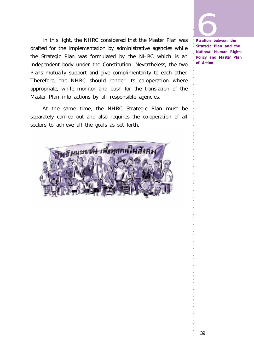

In this light, the NHRC considered that the Master Plan was drafted for the implementation by administrative agencies while the Strategic Plan was formulated by the NHRC which is an independent body under the Constitution. Nevertheless, the two Plans mutually support and give complimentarity to each other. Therefore, the NHRC should render its co-operation where appropriate, while monitor and push for the translation of the Master Plan into actions by all responsible agencies.

At the same time, the NHRC Strategic Plan must be separately carried out and also requires the co-operation of all sectors to achieve all the goals as set forth.



*Strategic Plan and the National Human Rights Policy and Master Plan of Action*